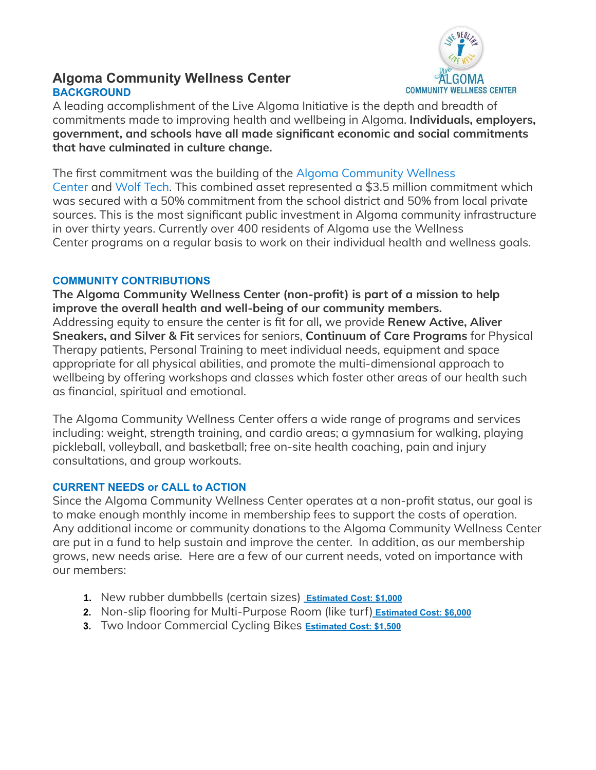

# **Algoma Community Wellness Center BACKGROUND**

A leading accomplishment of the Live Algoma Initiative is the depth and breadth of commitments made to improving health and wellbeing in Algoma. **Individuals, employers, government, and schools have all made significant economic and social commitments that have culminated in culture change.**

The first commitment was the building of the Algoma [Community](http://algomawolves.org/index.php/algoma-community-wellness-center/) Wellness [Center](http://algomawolves.org/index.php/algoma-community-wellness-center/) and [Wolf](http://algomawolftech.org/) Tech. This combined asset represented a \$3.5 million commitment which was secured with a 50% commitment from the school district and 50% from local private sources. This is the most significant public investment in Algoma community infrastructure in over thirty years. Currently over 400 residents of Algoma use the Wellness Center programs on a regular basis to work on their individual health and wellness goals.

### **COMMUNITY CONTRIBUTIONS**

**The Algoma Community Wellness Center (non-profit) is part of a mission to help improve the overall health and well-being of our community members.** Addressing equity to ensure the center is fit for all**,** we provide **Renew Active, Aliver Sneakers, and Silver & Fit** services for seniors, **Continuum of Care Programs** for Physical Therapy patients, Personal Training to meet individual needs, equipment and space appropriate for all physical abilities, and promote the multi-dimensional approach to wellbeing by offering workshops and classes which foster other areas of our health such as financial, spiritual and emotional.

The Algoma Community Wellness Center offers a wide range of programs and services including: weight, strength training, and cardio areas; a gymnasium for walking, playing pickleball, volleyball, and basketball; free on-site health coaching, pain and injury consultations, and group workouts.

## **CURRENT NEEDS or CALL to ACTION**

Since the Algoma Community Wellness Center operates at a non-profit status, our goal is to make enough monthly income in membership fees to support the costs of operation. Any additional income or community donations to the Algoma Community Wellness Center are put in a fund to help sustain and improve the center. In addition, as our membership grows, new needs arise. Here are a few of our current needs, voted on importance with our members:

- **1.** New rubber dumbbells (certain sizes) **Estimated Cost: \$1,000**
- **2.** Non-slip flooring for Multi-Purpose Room (like turf) **Estimated Cost: \$6,000**
- **3.** Two Indoor Commercial Cycling Bikes **Estimated Cost: \$1,500**